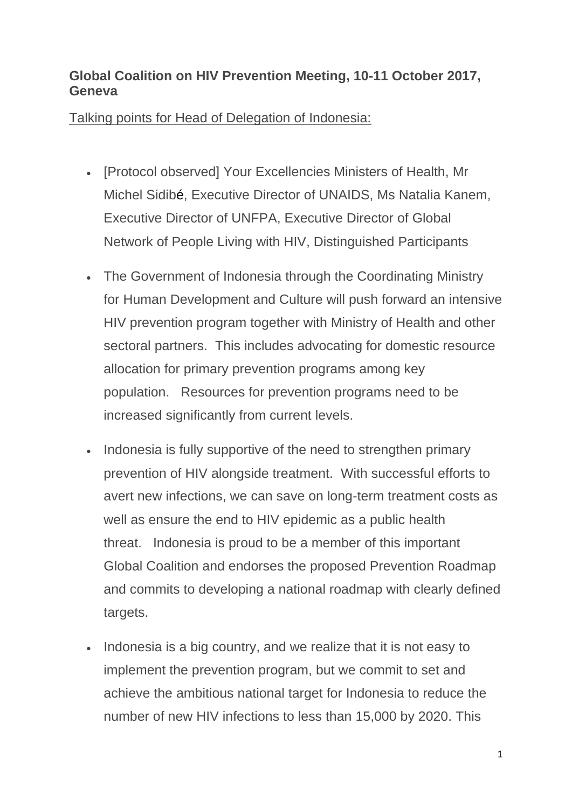## **Global Coalition on HIV Prevention Meeting, 10-11 October 2017, Geneva**

Talking points for Head of Delegation of Indonesia:

- [Protocol observed] Your Excellencies Ministers of Health, Mr Michel Sidibé, Executive Director of UNAIDS, Ms Natalia Kanem, Executive Director of UNFPA, Executive Director of Global Network of People Living with HIV, Distinguished Participants
- The Government of Indonesia through the Coordinating Ministry for Human Development and Culture will push forward an intensive HIV prevention program together with Ministry of Health and other sectoral partners. This includes advocating for domestic resource allocation for primary prevention programs among key population. Resources for prevention programs need to be increased significantly from current levels.
- Indonesia is fully supportive of the need to strengthen primary prevention of HIV alongside treatment. With successful efforts to avert new infections, we can save on long-term treatment costs as well as ensure the end to HIV epidemic as a public health threat. Indonesia is proud to be a member of this important Global Coalition and endorses the proposed Prevention Roadmap and commits to developing a national roadmap with clearly defined targets.
- Indonesia is a big country, and we realize that it is not easy to implement the prevention program, but we commit to set and achieve the ambitious national target for Indonesia to reduce the number of new HIV infections to less than 15,000 by 2020. This